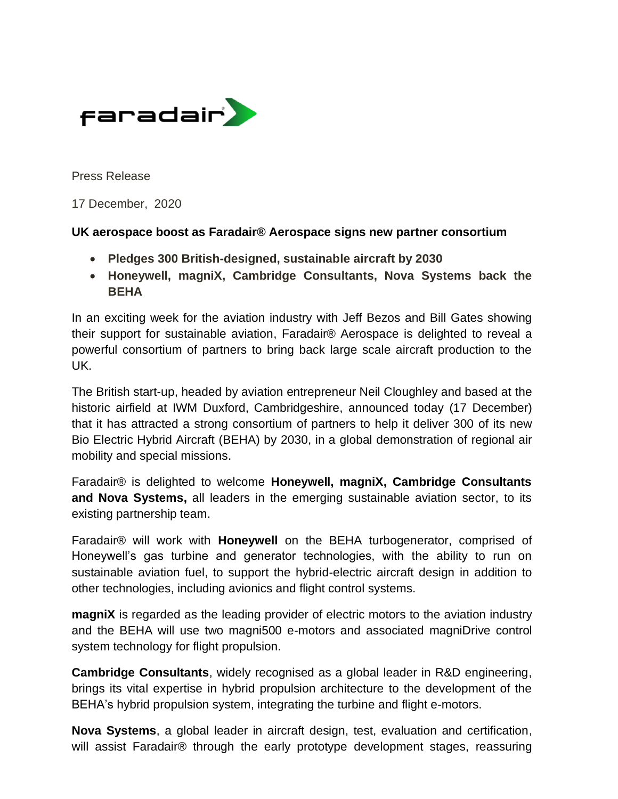

Press Release

17 December, 2020

## **UK aerospace boost as Faradair® Aerospace signs new partner consortium**

- **Pledges 300 British-designed, sustainable aircraft by 2030**
- **Honeywell, magniX, Cambridge Consultants, Nova Systems back the BEHA**

In an exciting week for the aviation industry with Jeff Bezos and Bill Gates showing their support for sustainable aviation, Faradair® Aerospace is delighted to reveal a powerful consortium of partners to bring back large scale aircraft production to the UK.

The British start-up, headed by aviation entrepreneur Neil Cloughley and based at the historic airfield at IWM Duxford, Cambridgeshire, announced today (17 December) that it has attracted a strong consortium of partners to help it deliver 300 of its new Bio Electric Hybrid Aircraft (BEHA) by 2030, in a global demonstration of regional air mobility and special missions.

Faradair® is delighted to welcome **Honeywell, magniX, Cambridge Consultants and Nova Systems,** all leaders in the emerging sustainable aviation sector, to its existing partnership team.

Faradair® will work with **Honeywell** on the BEHA turbogenerator, comprised of Honeywell's gas turbine and generator technologies, with the ability to run on sustainable aviation fuel, to support the hybrid-electric aircraft design in addition to other technologies, including avionics and flight control systems.

**magniX** is regarded as the leading provider of electric motors to the aviation industry and the BEHA will use two magni500 e-motors and associated magniDrive control system technology for flight propulsion.

**Cambridge Consultants**, widely recognised as a global leader in R&D engineering, brings its vital expertise in hybrid propulsion architecture to the development of the BEHA's hybrid propulsion system, integrating the turbine and flight e-motors.

**Nova Systems**, a global leader in aircraft design, test, evaluation and certification, will assist Faradair<sup>®</sup> through the early prototype development stages, reassuring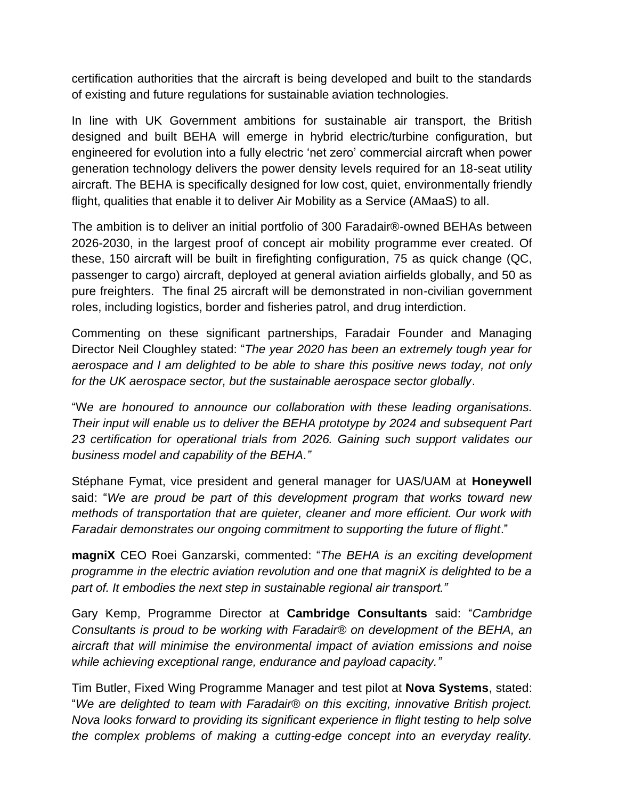certification authorities that the aircraft is being developed and built to the standards of existing and future regulations for sustainable aviation technologies.

In line with UK Government ambitions for sustainable air transport, the British designed and built BEHA will emerge in hybrid electric/turbine configuration, but engineered for evolution into a fully electric 'net zero' commercial aircraft when power generation technology delivers the power density levels required for an 18-seat utility aircraft. The BEHA is specifically designed for low cost, quiet, environmentally friendly flight, qualities that enable it to deliver Air Mobility as a Service (AMaaS) to all.

The ambition is to deliver an initial portfolio of 300 Faradair®-owned BEHAs between 2026-2030, in the largest proof of concept air mobility programme ever created. Of these, 150 aircraft will be built in firefighting configuration, 75 as quick change (QC, passenger to cargo) aircraft, deployed at general aviation airfields globally, and 50 as pure freighters. The final 25 aircraft will be demonstrated in non-civilian government roles, including logistics, border and fisheries patrol, and drug interdiction.

Commenting on these significant partnerships, Faradair Founder and Managing Director Neil Cloughley stated: "*The year 2020 has been an extremely tough year for aerospace and I am delighted to be able to share this positive news today, not only for the UK aerospace sector, but the sustainable aerospace sector globally*.

"W*e are honoured to announce our collaboration with these leading organisations. Their input will enable us to deliver the BEHA prototype by 2024 and subsequent Part 23 certification for operational trials from 2026. Gaining such support validates our business model and capability of the BEHA."*

Stéphane Fymat, vice president and general manager for UAS/UAM at **Honeywell**  said: "*We are proud be part of this development program that works toward new methods of transportation that are quieter, cleaner and more efficient. Our work with Faradair demonstrates our ongoing commitment to supporting the future of flight*."

**magniX** CEO Roei Ganzarski, commented: "*The BEHA is an exciting development programme in the electric aviation revolution and one that magniX is delighted to be a part of. It embodies the next step in sustainable regional air transport."*

Gary Kemp, Programme Director at **Cambridge Consultants** said: "*Cambridge Consultants is proud to be working with Faradair*® *on development of the BEHA, an aircraft that will minimise the environmental impact of aviation emissions and noise while achieving exceptional range, endurance and payload capacity."*

Tim Butler, Fixed Wing Programme Manager and test pilot at **Nova Systems**, stated: "*We are delighted to team with Faradair*® *on this exciting, innovative British project. Nova looks forward to providing its significant experience in flight testing to help solve the complex problems of making a cutting-edge concept into an everyday reality.*